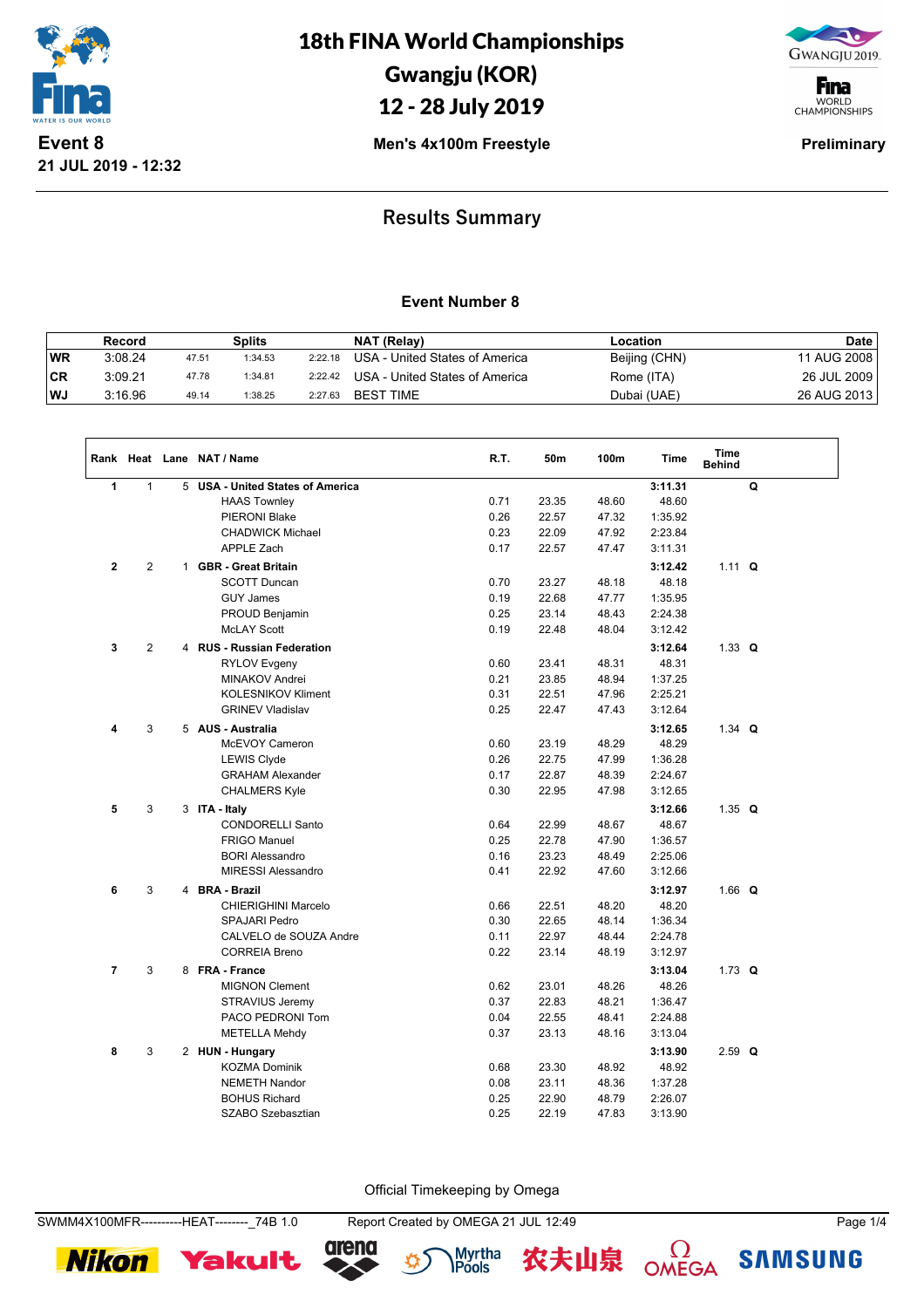

18th FINA World Championships Gwangju (KOR)

## 12 - 28 July 2019

GWANGJU 2019.

**F**ina WORLD<br>CHAMPIONSHIPS

**Men's 4x100m Freestyle Preliminary** 

### **Results Summary**

#### **Event Number 8**

|     | Record  |       | <b>Splits</b> |         | NAT (Relay)                    | ∟ocation      | <b>Date</b> |
|-----|---------|-------|---------------|---------|--------------------------------|---------------|-------------|
| WR  | 3:08.24 | 47.51 | 1:34.53       | 2:22.18 | USA - United States of America | Beijing (CHN) | 11 AUG 2008 |
| ∣CR | 3:09.21 | 47.78 | 1:34.81       | 2:22.42 | USA - United States of America | Rome (ITA)    | 26 JUL 2009 |
| WJ  | 3:16.96 | 49.14 | 1:38.25       | 2:27.63 | <b>BEST TIME</b>               | Dubai (UAE)   | 26 AUG 2013 |

|                |                |              | Rank Heat Lane NAT / Name             | R.T. | 50m   | 100m  | <b>Time</b> | <b>Time</b><br><b>Behind</b> |   |
|----------------|----------------|--------------|---------------------------------------|------|-------|-------|-------------|------------------------------|---|
| 1              | $\mathbf{1}$   | 5            | <b>USA - United States of America</b> |      |       |       | 3:11.31     |                              | Q |
|                |                |              | <b>HAAS Townley</b>                   | 0.71 | 23.35 | 48.60 | 48.60       |                              |   |
|                |                |              | PIERONI Blake                         | 0.26 | 22.57 | 47.32 | 1:35.92     |                              |   |
|                |                |              | <b>CHADWICK Michael</b>               | 0.23 | 22.09 | 47.92 | 2:23.84     |                              |   |
|                |                |              | APPLE Zach                            | 0.17 | 22.57 | 47.47 | 3:11.31     |                              |   |
| $\mathbf{2}$   | 2              | $\mathbf{1}$ | <b>GBR</b> - Great Britain            |      |       |       | 3:12.42     | $1.11 \tQ$                   |   |
|                |                |              | <b>SCOTT Duncan</b>                   | 0.70 | 23.27 | 48.18 | 48.18       |                              |   |
|                |                |              | <b>GUY James</b>                      | 0.19 | 22.68 | 47.77 | 1:35.95     |                              |   |
|                |                |              | PROUD Benjamin                        | 0.25 | 23.14 | 48.43 | 2:24.38     |                              |   |
|                |                |              | <b>McLAY Scott</b>                    | 0.19 | 22.48 | 48.04 | 3:12.42     |                              |   |
| 3              | $\overline{2}$ |              | 4 RUS - Russian Federation            |      |       |       | 3:12.64     | 1.33 $Q$                     |   |
|                |                |              | <b>RYLOV Evgeny</b>                   | 0.60 | 23.41 | 48.31 | 48.31       |                              |   |
|                |                |              | <b>MINAKOV Andrei</b>                 | 0.21 | 23.85 | 48.94 | 1:37.25     |                              |   |
|                |                |              | <b>KOLESNIKOV Kliment</b>             | 0.31 | 22.51 | 47.96 | 2:25.21     |                              |   |
|                |                |              | <b>GRINEV Vladislav</b>               | 0.25 | 22.47 | 47.43 | 3:12.64     |                              |   |
| 4              | 3              |              | 5 AUS - Australia                     |      |       |       | 3:12.65     | 1.34 $Q$                     |   |
|                |                |              | McEVOY Cameron                        | 0.60 | 23.19 | 48.29 | 48.29       |                              |   |
|                |                |              | <b>LEWIS Clyde</b>                    | 0.26 | 22.75 | 47.99 | 1:36.28     |                              |   |
|                |                |              | <b>GRAHAM Alexander</b>               | 0.17 | 22.87 | 48.39 | 2:24.67     |                              |   |
|                |                |              | <b>CHALMERS Kyle</b>                  | 0.30 | 22.95 | 47.98 | 3:12.65     |                              |   |
| 5              | 3              |              | 3 ITA - Italy                         |      |       |       | 3:12.66     | 1.35 $Q$                     |   |
|                |                |              | <b>CONDORELLI Santo</b>               | 0.64 | 22.99 | 48.67 | 48.67       |                              |   |
|                |                |              | <b>FRIGO Manuel</b>                   | 0.25 | 22.78 | 47.90 | 1:36.57     |                              |   |
|                |                |              | <b>BORI Alessandro</b>                | 0.16 | 23.23 | 48.49 | 2:25.06     |                              |   |
|                |                |              | <b>MIRESSI Alessandro</b>             | 0.41 | 22.92 | 47.60 | 3:12.66     |                              |   |
| 6              | 3              |              | 4 BRA - Brazil                        |      |       |       | 3:12.97     | 1.66 $Q$                     |   |
|                |                |              | <b>CHIERIGHINI Marcelo</b>            | 0.66 | 22.51 | 48.20 | 48.20       |                              |   |
|                |                |              | <b>SPAJARI Pedro</b>                  | 0.30 | 22.65 | 48.14 | 1:36.34     |                              |   |
|                |                |              | CALVELO de SOUZA Andre                | 0.11 | 22.97 | 48.44 | 2:24.78     |                              |   |
|                |                |              | <b>CORREIA Breno</b>                  | 0.22 | 23.14 | 48.19 | 3:12.97     |                              |   |
| $\overline{7}$ | 3              |              | 8 FRA - France                        |      |       |       | 3:13.04     | 1.73 $Q$                     |   |
|                |                |              | <b>MIGNON Clement</b>                 | 0.62 | 23.01 | 48.26 | 48.26       |                              |   |
|                |                |              | STRAVIUS Jeremy                       | 0.37 | 22.83 | 48.21 | 1:36.47     |                              |   |
|                |                |              | PACO PEDRONI Tom                      | 0.04 | 22.55 | 48.41 | 2:24.88     |                              |   |
|                |                |              | <b>METELLA Mehdy</b>                  | 0.37 | 23.13 | 48.16 | 3:13.04     |                              |   |
| 8              | 3              |              | 2 HUN - Hungary                       |      |       |       | 3:13.90     | $2.59$ Q                     |   |
|                |                |              | <b>KOZMA Dominik</b>                  | 0.68 | 23.30 | 48.92 | 48.92       |                              |   |
|                |                |              | <b>NEMETH Nandor</b>                  | 0.08 | 23.11 | 48.36 | 1:37.28     |                              |   |
|                |                |              | <b>BOHUS Richard</b>                  | 0.25 | 22.90 | 48.79 | 2:26.07     |                              |   |
|                |                |              | SZABO Szebasztian                     | 0.25 | 22.19 | 47.83 | 3:13.90     |                              |   |

Official Timekeeping by Omega

**Nikon** 







**SAMSUNG**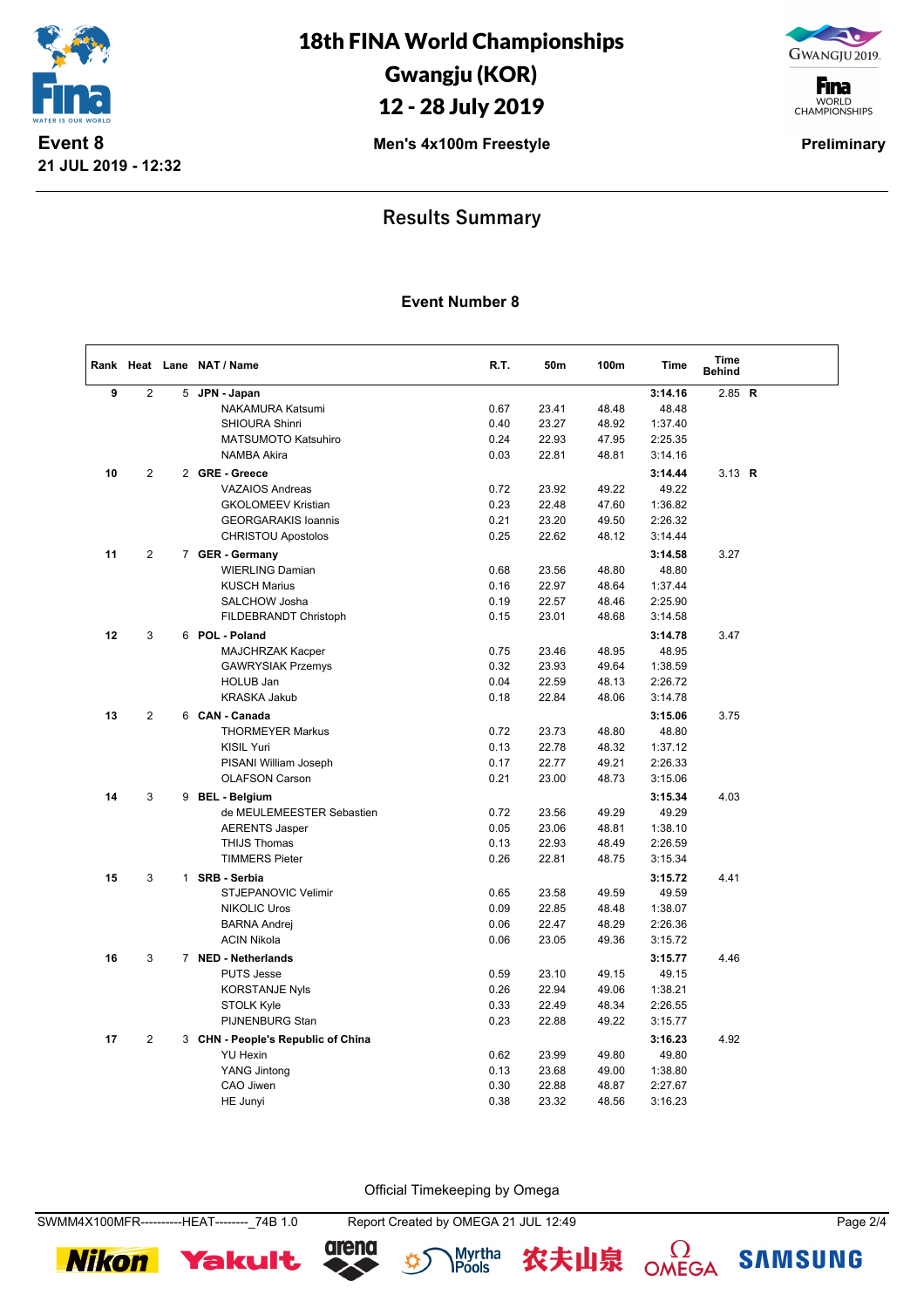

18th FINA World Championships Gwangju (KOR) 12 - 28 July 2019

GWANGJU 2019.

**F**ina WORLD<br>CHAMPIONSHIPS

**Men's 4x100m Freestyle Preliminary** 

### **Results Summary**

#### **Event Number 8**

|    |                |   | Rank Heat Lane NAT / Name                 | R.T.         | 50m            | 100m           | <b>Time</b>        | Time<br><b>Behind</b> |  |
|----|----------------|---|-------------------------------------------|--------------|----------------|----------------|--------------------|-----------------------|--|
| 9  | $\overline{2}$ | 5 | JPN - Japan                               |              |                |                | 3:14.16            | 2.85 $R$              |  |
|    |                |   | NAKAMURA Katsumi                          | 0.67         | 23.41          | 48.48          | 48.48              |                       |  |
|    |                |   | SHIOURA Shinri                            | 0.40         | 23.27          | 48.92          | 1:37.40            |                       |  |
|    |                |   | <b>MATSUMOTO Katsuhiro</b>                | 0.24         | 22.93          | 47.95          | 2:25.35            |                       |  |
|    |                |   | <b>NAMBA Akira</b>                        | 0.03         | 22.81          | 48.81          | 3:14.16            |                       |  |
| 10 | $\overline{2}$ |   | 2 GRE - Greece                            |              |                |                | 3:14.44            | 3.13 $R$              |  |
|    |                |   | <b>VAZAIOS Andreas</b>                    | 0.72         | 23.92          | 49.22          | 49.22              |                       |  |
|    |                |   | <b>GKOLOMEEV Kristian</b>                 | 0.23         | 22.48          | 47.60          | 1:36.82            |                       |  |
|    |                |   | <b>GEORGARAKIS Ioannis</b>                | 0.21         | 23.20          | 49.50          | 2:26.32            |                       |  |
|    |                |   | <b>CHRISTOU Apostolos</b>                 | 0.25         | 22.62          | 48.12          | 3:14.44            |                       |  |
| 11 | 2              |   | 7 GER - Germany                           |              |                |                | 3:14.58            | 3.27                  |  |
|    |                |   | <b>WIERLING Damian</b>                    | 0.68         | 23.56          | 48.80          | 48.80              |                       |  |
|    |                |   | <b>KUSCH Marius</b>                       | 0.16         | 22.97          | 48.64          | 1:37.44            |                       |  |
|    |                |   | SALCHOW Josha                             | 0.19         | 22.57          | 48.46          | 2:25.90            |                       |  |
|    |                |   | FILDEBRANDT Christoph                     | 0.15         | 23.01          | 48.68          | 3:14.58            |                       |  |
| 12 | 3              |   | 6 POL - Poland                            |              |                |                | 3:14.78            | 3.47                  |  |
|    |                |   | MAJCHRZAK Kacper                          | 0.75         | 23.46          | 48.95          | 48.95              |                       |  |
|    |                |   | <b>GAWRYSIAK Przemys</b>                  | 0.32         | 23.93          | 49.64          | 1:38.59            |                       |  |
|    |                |   | <b>HOLUB Jan</b>                          | 0.04         | 22.59          | 48.13          | 2:26.72            |                       |  |
|    |                |   | <b>KRASKA Jakub</b>                       | 0.18         | 22.84          | 48.06          | 3:14.78            |                       |  |
| 13 | $\overline{2}$ |   | 6 CAN - Canada                            |              |                |                | 3:15.06            | 3.75                  |  |
|    |                |   | <b>THORMEYER Markus</b>                   | 0.72         | 23.73          | 48.80          | 48.80              |                       |  |
|    |                |   | <b>KISIL Yuri</b>                         | 0.13         | 22.78          | 48.32          | 1:37.12            |                       |  |
|    |                |   | PISANI William Joseph                     | 0.17         | 22.77          | 49.21          | 2:26.33            |                       |  |
|    |                |   | <b>OLAFSON Carson</b>                     | 0.21         | 23.00          | 48.73          | 3:15.06            |                       |  |
| 14 | 3              |   | 9 BEL - Belgium                           |              |                |                | 3:15.34            | 4.03                  |  |
|    |                |   | de MEULEMEESTER Sebastien                 | 0.72         | 23.56          | 49.29          | 49.29              |                       |  |
|    |                |   | <b>AERENTS Jasper</b>                     | 0.05         | 23.06          | 48.81          | 1:38.10            |                       |  |
|    |                |   | <b>THIJS Thomas</b>                       | 0.13         | 22.93          | 48.49          | 2:26.59            |                       |  |
|    |                |   | <b>TIMMERS Pieter</b>                     | 0.26         | 22.81          | 48.75          | 3:15.34            |                       |  |
|    |                |   |                                           |              |                |                |                    |                       |  |
| 15 | 3              |   | 1 SRB - Serbia                            |              |                |                | 3:15.72            | 4.41                  |  |
|    |                |   | STJEPANOVIC Velimir                       | 0.65<br>0.09 | 23.58<br>22.85 | 49.59          | 49.59              |                       |  |
|    |                |   | <b>NIKOLIC Uros</b>                       | 0.06         | 22.47          | 48.48<br>48.29 | 1:38.07<br>2:26.36 |                       |  |
|    |                |   | <b>BARNA Andrej</b><br><b>ACIN Nikola</b> | 0.06         | 23.05          | 49.36          | 3:15.72            |                       |  |
|    |                |   |                                           |              |                |                |                    |                       |  |
| 16 | 3              |   | 7 NED - Netherlands                       |              |                |                | 3:15.77            | 4.46                  |  |
|    |                |   | <b>PUTS Jesse</b>                         | 0.59         | 23.10          | 49.15          | 49.15              |                       |  |
|    |                |   | <b>KORSTANJE Nyls</b>                     | 0.26         | 22.94          | 49.06          | 1:38.21            |                       |  |
|    |                |   | <b>STOLK Kyle</b>                         | 0.33         | 22.49          | 48.34          | 2:26.55            |                       |  |
|    |                |   | PIJNENBURG Stan                           | 0.23         | 22.88          | 49.22          | 3:15.77            |                       |  |
| 17 | $\mathbf{2}$   |   | 3 CHN - People's Republic of China        |              |                |                | 3:16.23            | 4.92                  |  |
|    |                |   | <b>YU Hexin</b>                           | 0.62         | 23.99          | 49.80          | 49.80              |                       |  |
|    |                |   | <b>YANG Jintong</b>                       | 0.13         | 23.68          | 49.00          | 1:38.80            |                       |  |
|    |                |   | CAO Jiwen                                 | 0.30         | 22.88          | 48.87          | 2:27.67            |                       |  |
|    |                |   | HE Junyi                                  | 0.38         | 23.32          | 48.56          | 3:16.23            |                       |  |

Official Timekeeping by Omega

**Nikon** 









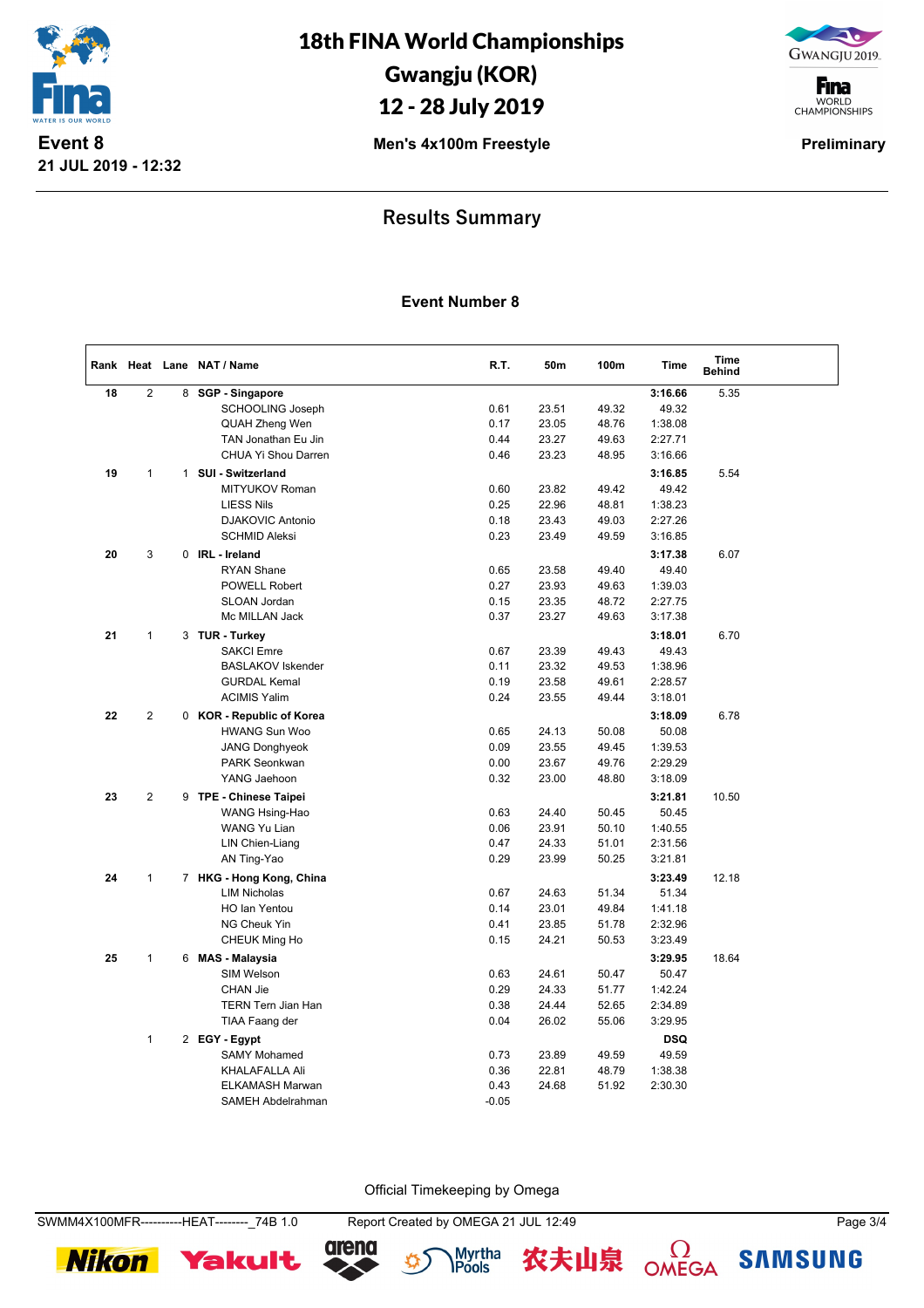

18th FINA World Championships Gwangju (KOR) 12 - 28 July 2019

GWANGJU 2019.

**F**ina WORLD<br>CHAMPIONSHIPS

**Men's 4x100m Freestyle Preliminary** 

### **Results Summary**

#### **Event Number 8**

|    |                |   | Rank Heat Lane NAT / Name | R.T.    | 50m   | 100m  | <b>Time</b> | <b>Time</b><br><b>Behind</b> |  |
|----|----------------|---|---------------------------|---------|-------|-------|-------------|------------------------------|--|
| 18 | $\overline{2}$ | 8 | <b>SGP - Singapore</b>    |         |       |       | 3:16.66     | 5.35                         |  |
|    |                |   | <b>SCHOOLING Joseph</b>   | 0.61    | 23.51 | 49.32 | 49.32       |                              |  |
|    |                |   | QUAH Zheng Wen            | 0.17    | 23.05 | 48.76 | 1:38.08     |                              |  |
|    |                |   | TAN Jonathan Eu Jin       | 0.44    | 23.27 | 49.63 | 2:27.71     |                              |  |
|    |                |   | CHUA Yi Shou Darren       | 0.46    | 23.23 | 48.95 | 3:16.66     |                              |  |
| 19 | 1              | 1 | SUI - Switzerland         |         |       |       | 3:16.85     | 5.54                         |  |
|    |                |   | <b>MITYUKOV Roman</b>     | 0.60    | 23.82 | 49.42 | 49.42       |                              |  |
|    |                |   | <b>LIESS Nils</b>         | 0.25    | 22.96 | 48.81 | 1:38.23     |                              |  |
|    |                |   | <b>DJAKOVIC Antonio</b>   | 0.18    | 23.43 | 49.03 | 2:27.26     |                              |  |
|    |                |   | <b>SCHMID Aleksi</b>      | 0.23    | 23.49 | 49.59 | 3:16.85     |                              |  |
| 20 | 3              | 0 | IRL - Ireland             |         |       |       | 3:17.38     | 6.07                         |  |
|    |                |   | <b>RYAN Shane</b>         | 0.65    | 23.58 | 49.40 | 49.40       |                              |  |
|    |                |   | POWELL Robert             | 0.27    | 23.93 | 49.63 | 1:39.03     |                              |  |
|    |                |   | SLOAN Jordan              | 0.15    | 23.35 | 48.72 | 2:27.75     |                              |  |
|    |                |   | Mc MILLAN Jack            | 0.37    | 23.27 | 49.63 | 3:17.38     |                              |  |
| 21 | $\mathbf{1}$   |   | 3 TUR - Turkey            |         |       |       | 3:18.01     | 6.70                         |  |
|    |                |   | <b>SAKCI Emre</b>         | 0.67    | 23.39 | 49.43 | 49.43       |                              |  |
|    |                |   | <b>BASLAKOV Iskender</b>  | 0.11    | 23.32 | 49.53 | 1:38.96     |                              |  |
|    |                |   | <b>GURDAL Kemal</b>       | 0.19    | 23.58 | 49.61 | 2:28.57     |                              |  |
|    |                |   | <b>ACIMIS Yalim</b>       | 0.24    | 23.55 | 49.44 | 3:18.01     |                              |  |
| 22 | 2              |   | 0 KOR - Republic of Korea |         |       |       | 3:18.09     | 6.78                         |  |
|    |                |   | <b>HWANG Sun Woo</b>      | 0.65    | 24.13 | 50.08 | 50.08       |                              |  |
|    |                |   | <b>JANG Donghyeok</b>     | 0.09    | 23.55 | 49.45 | 1:39.53     |                              |  |
|    |                |   | <b>PARK Seonkwan</b>      | 0.00    | 23.67 | 49.76 | 2:29.29     |                              |  |
|    |                |   | YANG Jaehoon              | 0.32    | 23.00 | 48.80 | 3:18.09     |                              |  |
| 23 | $\overline{2}$ |   | 9 TPE - Chinese Taipei    |         |       |       | 3:21.81     | 10.50                        |  |
|    |                |   | WANG Hsing-Hao            | 0.63    | 24.40 | 50.45 | 50.45       |                              |  |
|    |                |   | <b>WANG Yu Lian</b>       | 0.06    | 23.91 | 50.10 | 1:40.55     |                              |  |
|    |                |   | LIN Chien-Liang           | 0.47    | 24.33 | 51.01 | 2:31.56     |                              |  |
|    |                |   | AN Ting-Yao               | 0.29    | 23.99 | 50.25 | 3:21.81     |                              |  |
| 24 | $\mathbf{1}$   |   | 7 HKG - Hong Kong, China  |         |       |       | 3:23.49     | 12.18                        |  |
|    |                |   | <b>LIM Nicholas</b>       | 0.67    | 24.63 | 51.34 | 51.34       |                              |  |
|    |                |   | <b>HO Ian Yentou</b>      | 0.14    | 23.01 | 49.84 | 1:41.18     |                              |  |
|    |                |   | NG Cheuk Yin              | 0.41    | 23.85 | 51.78 | 2:32.96     |                              |  |
|    |                |   | CHEUK Ming Ho             | 0.15    | 24.21 | 50.53 | 3:23.49     |                              |  |
| 25 | $\mathbf{1}$   |   | 6 MAS - Malaysia          |         |       |       | 3:29.95     | 18.64                        |  |
|    |                |   | SIM Welson                | 0.63    | 24.61 | 50.47 | 50.47       |                              |  |
|    |                |   | <b>CHAN Jie</b>           | 0.29    | 24.33 | 51.77 | 1:42.24     |                              |  |
|    |                |   | <b>TERN Tern Jian Han</b> | 0.38    | 24.44 | 52.65 | 2:34.89     |                              |  |
|    |                |   | TIAA Faang der            | 0.04    | 26.02 | 55.06 | 3:29.95     |                              |  |
|    | $\mathbf{1}$   |   | 2 EGY - Egypt             |         |       |       | DSQ         |                              |  |
|    |                |   | <b>SAMY Mohamed</b>       | 0.73    | 23.89 | 49.59 | 49.59       |                              |  |
|    |                |   | KHALAFALLA Ali            | 0.36    | 22.81 | 48.79 | 1:38.38     |                              |  |
|    |                |   | <b>ELKAMASH Marwan</b>    | 0.43    | 24.68 | 51.92 | 2:30.30     |                              |  |
|    |                |   | SAMEH Abdelrahman         | $-0.05$ |       |       |             |                              |  |

Official Timekeeping by Omega











**SAMSUNG**